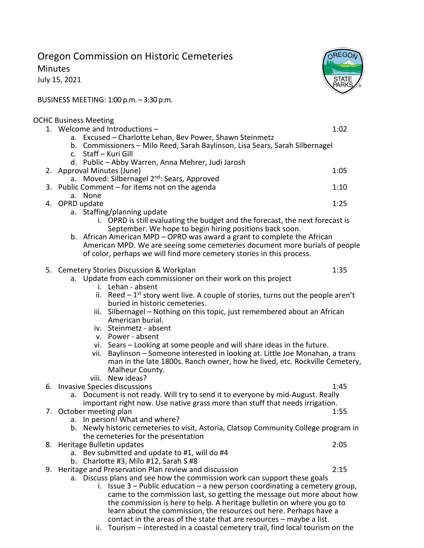## Oregon Commission on Historic Cemeteries

Minutes

July 15, 2021

OREGO **STATE** 2ARK

BUSINESS MEETING: 1:00 p.m. – 3:30 p.m.

## OCHC Business Meeting

| 1. Welcome and Introductions-                                                        | 1:02 |  |
|--------------------------------------------------------------------------------------|------|--|
| a. Excused - Charlotte Lehan, Bev Power, Shawn Steinmetz                             |      |  |
| b. Commissioners - Milo Reed, Sarah Baylinson, Lisa Sears, Sarah Silbernagel         |      |  |
| c. Staff - Kuri Gill                                                                 |      |  |
| d. Public - Abby Warren, Anna Mehrer, Judi Jarosh                                    |      |  |
| 2. Approval Minutes (June)                                                           | 1:05 |  |
| a. Moved: Silbernagel 2 <sup>nd</sup> : Sears, Approved                              |      |  |
| 3. Public Comment – for items not on the agenda                                      | 1:10 |  |
| a. None                                                                              |      |  |
| 4. OPRD update                                                                       | 1:25 |  |
| a. Staffing/planning update                                                          |      |  |
| i. OPRD is still evaluating the budget and the forecast, the next forecast is        |      |  |
| September. We hope to begin hiring positions back soon.                              |      |  |
| b. African American MPD – OPRD was award a grant to complete the African             |      |  |
| American MPD. We are seeing some cemeteries document more burials of people          |      |  |
| of color, perhaps we will find more cemetery stories in this process.                |      |  |
|                                                                                      |      |  |
| 5. Cemetery Stories Discussion & Workplan                                            | 1:35 |  |
| a. Update from each commissioner on their work on this project                       |      |  |
| i. Lehan - absent                                                                    |      |  |
| ii. Reed $-1^{st}$ story went live. A couple of stories, turns out the people aren't |      |  |
| buried in historic cemeteries.                                                       |      |  |
| iii. Silbernagel - Nothing on this topic, just remembered about an African           |      |  |
| American burial.                                                                     |      |  |
| iv. Steinmetz - absent                                                               |      |  |
| v. Power - absent                                                                    |      |  |
| vi. Sears - Looking at some people and will share ideas in the future.               |      |  |
| Baylinson - Someone interested in looking at. Little Joe Monahan, a trans<br>vii.    |      |  |
| man in the late 1800s. Ranch owner, how he lived, etc. Rockville Cemetery,           |      |  |
| Malheur County.                                                                      |      |  |
| viii. New ideas?                                                                     |      |  |
| 6. Invasive Species discussions                                                      | 1:45 |  |
| a. Document is not ready. Will try to send it to everyone by mid-August. Really      |      |  |
| important right now. Use native grass more than stuff that needs irrigation.         |      |  |
| 7. October meeting plan                                                              | 1:55 |  |
| a. In person! What and where?                                                        |      |  |
| b. Newly historic cemeteries to visit, Astoria, Clatsop Community College program in |      |  |
| the cemeteries for the presentation                                                  |      |  |
| 8. Heritage Bulletin updates                                                         | 2:05 |  |
| a. Bev submitted and update to #1, will do #4                                        |      |  |
| b. Charlotte #3, Milo #12, Sarah S #8                                                |      |  |
| 9. Heritage and Preservation Plan review and discussion                              | 2:15 |  |
| a. Discuss plans and see how the commission work can support these goals             |      |  |
| i. Issue $3$ – Public education – a new person coordinating a cemetery group,        |      |  |
| came to the commission last, so getting the message out more about how               |      |  |
| the commission is here to help. A heritage bulletin on where you go to               |      |  |
| learn about the commission, the resources out here. Perhaps have a                   |      |  |
| contact in the areas of the state that are resources - maybe a list.                 |      |  |

ii. Tourism – interested in a coastal cemetery trail, find local tourism on the